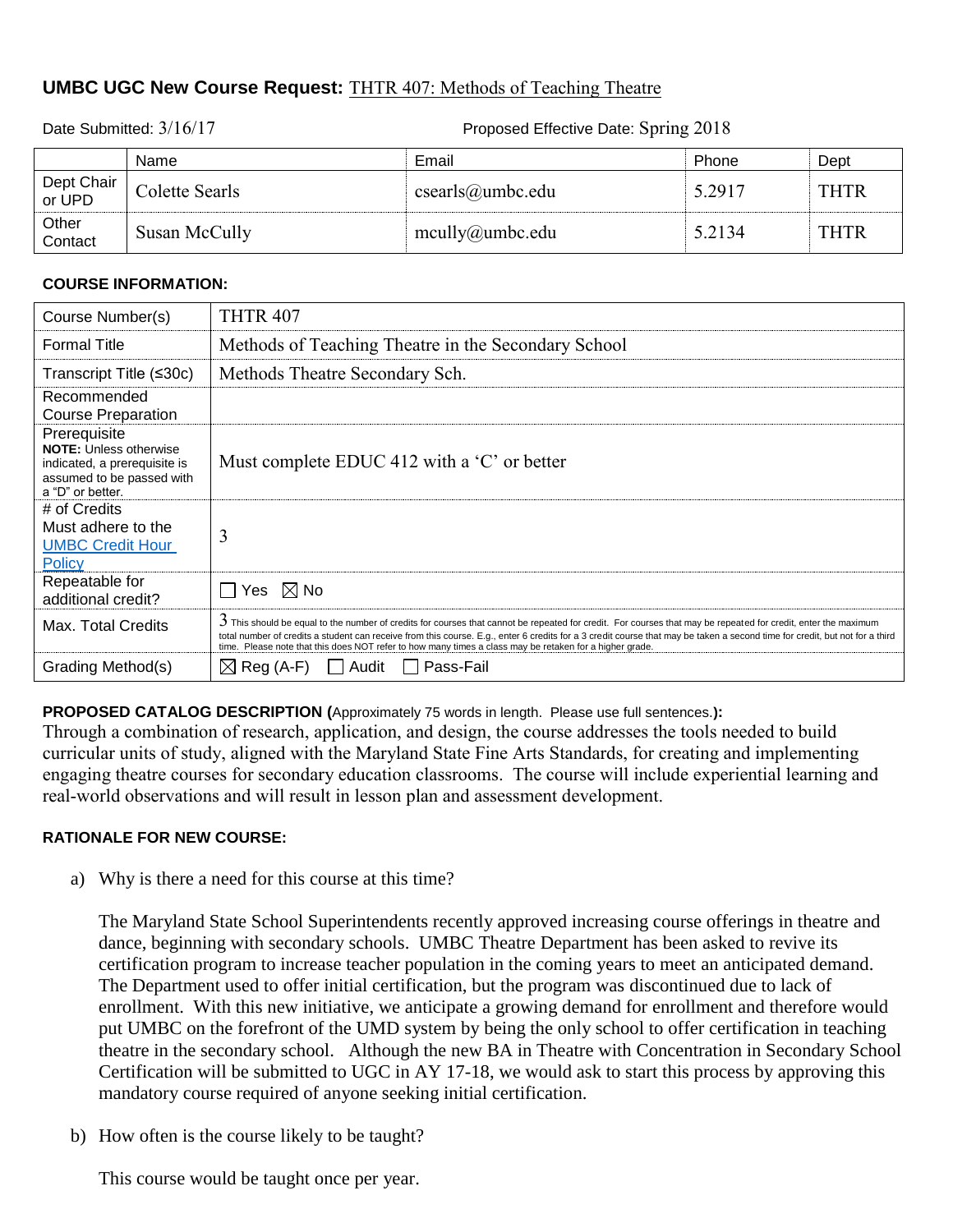# **UMBC UGC New Course Request:** THTR 407: Methods of Teaching Theatre

Name **Email** Phone Dept Dept Chair<br>or UPD Or UPD Colette Searls Colette Searls csearls csearls csearls csearls columb c.edu 5.2917 THTR **Other** Contact Susan McCully mcully@umbc.edu 5.2134 THTR

# **COURSE INFORMATION:**

| Course Number(s)                                                                                                               | <b>THTR 407</b>                                                                                                                                                                                                                                                                                                                                                                                                                                            |
|--------------------------------------------------------------------------------------------------------------------------------|------------------------------------------------------------------------------------------------------------------------------------------------------------------------------------------------------------------------------------------------------------------------------------------------------------------------------------------------------------------------------------------------------------------------------------------------------------|
| <b>Formal Title</b>                                                                                                            | Methods of Teaching Theatre in the Secondary School                                                                                                                                                                                                                                                                                                                                                                                                        |
| Transcript Title (≤30c)                                                                                                        | Methods Theatre Secondary Sch.                                                                                                                                                                                                                                                                                                                                                                                                                             |
| Recommended<br><b>Course Preparation</b>                                                                                       |                                                                                                                                                                                                                                                                                                                                                                                                                                                            |
| Prerequisite<br><b>NOTE: Unless otherwise</b><br>indicated, a prerequisite is<br>assumed to be passed with<br>a "D" or better. | Must complete EDUC 412 with a 'C' or better                                                                                                                                                                                                                                                                                                                                                                                                                |
| # of Credits<br>Must adhere to the<br><b>UMBC Credit Hour</b><br>Policy                                                        | 3                                                                                                                                                                                                                                                                                                                                                                                                                                                          |
| Repeatable for<br>additional credit?                                                                                           | $\Box$ Yes $\,\boxtimes$ No                                                                                                                                                                                                                                                                                                                                                                                                                                |
| Max. Total Credits                                                                                                             | $3$ This should be equal to the number of credits for courses that cannot be repeated for credit. For courses that may be repeated for credit, enter the maximum<br>total number of credits a student can receive from this course. E.g., enter 6 credits for a 3 credit course that may be taken a second time for credit, but not for a third<br>time. Please note that this does NOT refer to how many times a class may be retaken for a higher grade. |
| Grading Method(s)                                                                                                              | Pass-Fail<br>$\boxtimes$ Reg (A-F)<br>Audit                                                                                                                                                                                                                                                                                                                                                                                                                |

**PROPOSED CATALOG DESCRIPTION (**Approximately 75 words in length. Please use full sentences.**):**

Through a combination of research, application, and design, the course addresses the tools needed to build curricular units of study, aligned with the Maryland State Fine Arts Standards, for creating and implementing engaging theatre courses for secondary education classrooms. The course will include experiential learning and real-world observations and will result in lesson plan and assessment development.

# **RATIONALE FOR NEW COURSE:**

a) Why is there a need for this course at this time?

The Maryland State School Superintendents recently approved increasing course offerings in theatre and dance, beginning with secondary schools. UMBC Theatre Department has been asked to revive its certification program to increase teacher population in the coming years to meet an anticipated demand. The Department used to offer initial certification, but the program was discontinued due to lack of enrollment. With this new initiative, we anticipate a growing demand for enrollment and therefore would put UMBC on the forefront of the UMD system by being the only school to offer certification in teaching theatre in the secondary school. Although the new BA in Theatre with Concentration in Secondary School Certification will be submitted to UGC in AY 17-18, we would ask to start this process by approving this mandatory course required of anyone seeking initial certification.

b) How often is the course likely to be taught?

This course would be taught once per year.

Date Submitted:  $3/16/17$  Proposed Effective Date: Spring 2018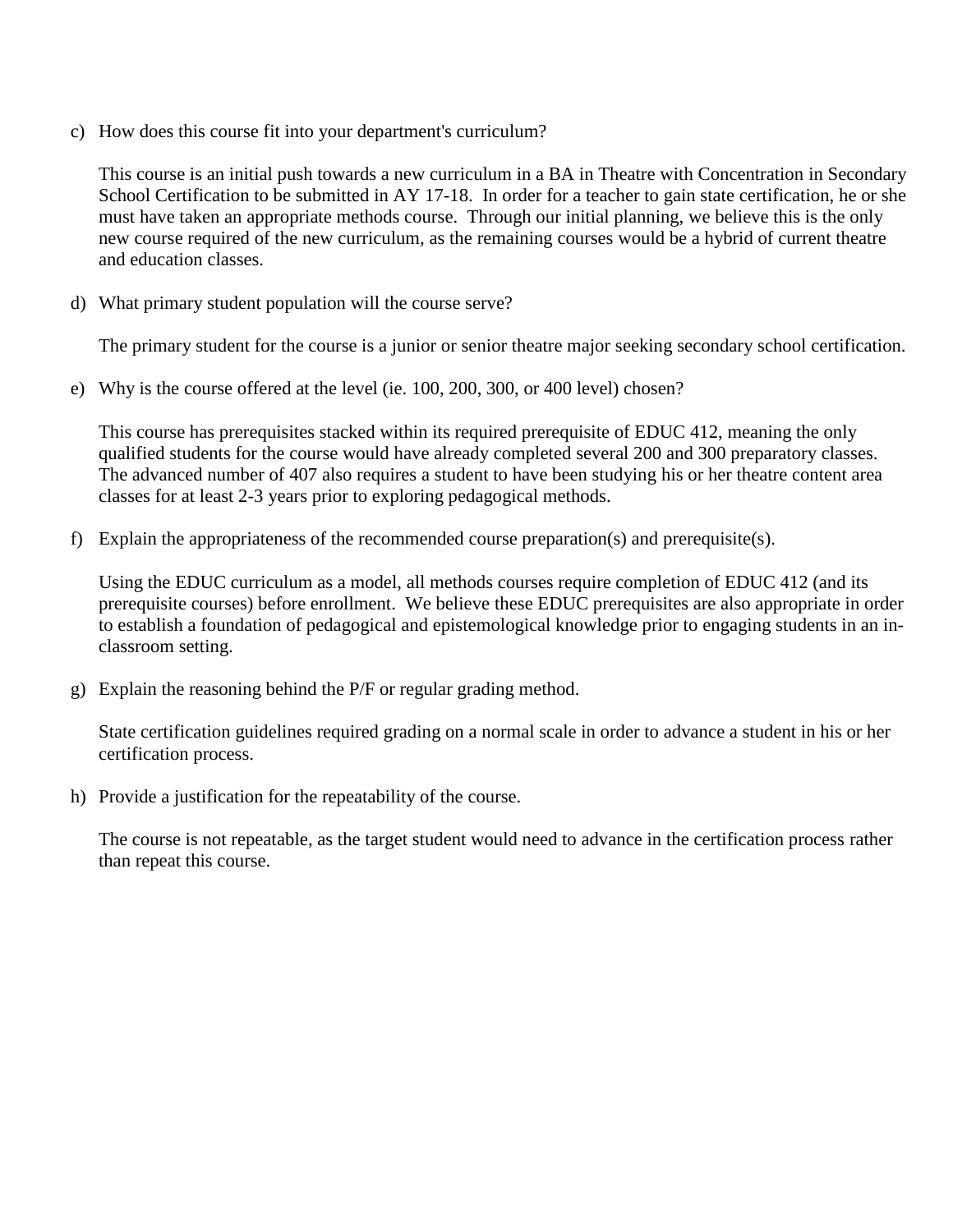c) How does this course fit into your department's curriculum?

This course is an initial push towards a new curriculum in a BA in Theatre with Concentration in Secondary School Certification to be submitted in AY 17-18. In order for a teacher to gain state certification, he or she must have taken an appropriate methods course. Through our initial planning, we believe this is the only new course required of the new curriculum, as the remaining courses would be a hybrid of current theatre and education classes.

d) What primary student population will the course serve?

The primary student for the course is a junior or senior theatre major seeking secondary school certification.

e) Why is the course offered at the level (ie. 100, 200, 300, or 400 level) chosen?

This course has prerequisites stacked within its required prerequisite of EDUC 412, meaning the only qualified students for the course would have already completed several 200 and 300 preparatory classes. The advanced number of 407 also requires a student to have been studying his or her theatre content area classes for at least 2-3 years prior to exploring pedagogical methods.

f) Explain the appropriateness of the recommended course preparation(s) and prerequisite(s).

Using the EDUC curriculum as a model, all methods courses require completion of EDUC 412 (and its prerequisite courses) before enrollment. We believe these EDUC prerequisites are also appropriate in order to establish a foundation of pedagogical and epistemological knowledge prior to engaging students in an inclassroom setting.

g) Explain the reasoning behind the P/F or regular grading method.

State certification guidelines required grading on a normal scale in order to advance a student in his or her certification process.

h) Provide a justification for the repeatability of the course.

The course is not repeatable, as the target student would need to advance in the certification process rather than repeat this course.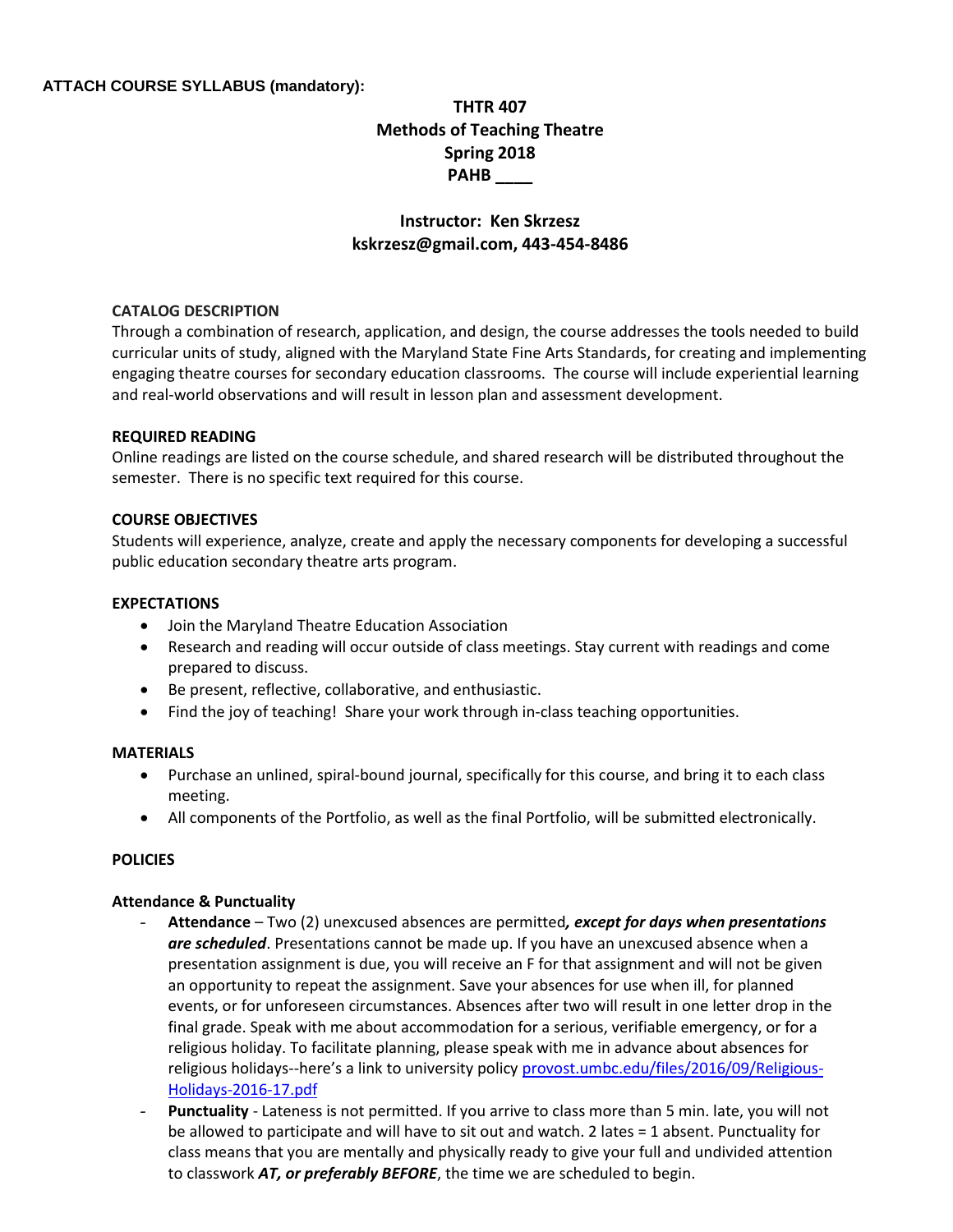# **ATTACH COURSE SYLLABUS (mandatory):**

# **THTR 407 Methods of Teaching Theatre Spring 2018 PAHB \_\_\_\_**

# **Instructor: Ken Skrzesz kskrzesz@gmail.com, 443-454-8486**

#### **CATALOG DESCRIPTION**

Through a combination of research, application, and design, the course addresses the tools needed to build curricular units of study, aligned with the Maryland State Fine Arts Standards, for creating and implementing engaging theatre courses for secondary education classrooms. The course will include experiential learning and real-world observations and will result in lesson plan and assessment development.

#### **REQUIRED READING**

Online readings are listed on the course schedule, and shared research will be distributed throughout the semester. There is no specific text required for this course.

#### **COURSE OBJECTIVES**

Students will experience, analyze, create and apply the necessary components for developing a successful public education secondary theatre arts program.

#### **EXPECTATIONS**

- Join the Maryland Theatre Education Association
- Research and reading will occur outside of class meetings. Stay current with readings and come prepared to discuss.
- Be present, reflective, collaborative, and enthusiastic.
- Find the joy of teaching! Share your work through in-class teaching opportunities.

#### **MATERIALS**

- Purchase an unlined, spiral-bound journal, specifically for this course, and bring it to each class meeting.
- All components of the Portfolio, as well as the final Portfolio, will be submitted electronically.

# **POLICIES**

#### **Attendance & Punctuality**

- **Attendance**  Two (2) unexcused absences are permitted*, except for days when presentations are scheduled*. Presentations cannot be made up. If you have an unexcused absence when a presentation assignment is due, you will receive an F for that assignment and will not be given an opportunity to repeat the assignment. Save your absences for use when ill, for planned events, or for unforeseen circumstances. Absences after two will result in one letter drop in the final grade. Speak with me about accommodation for a serious, verifiable emergency, or for a religious holiday. To facilitate planning, please speak with me in advance about absences for religious holidays--here's a link to university policy [provost.umbc.edu/files/2016/09/Religious-](http://provost.umbc.edu/files/2016/09/Religious-Holidays-2016-17.pdf)[Holidays-2016-17.pdf](http://provost.umbc.edu/files/2016/09/Religious-Holidays-2016-17.pdf)
- Punctuality Lateness is not permitted. If you arrive to class more than 5 min. late, you will not be allowed to participate and will have to sit out and watch. 2 lates = 1 absent. Punctuality for class means that you are mentally and physically ready to give your full and undivided attention to classwork *AT, or preferably BEFORE*, the time we are scheduled to begin.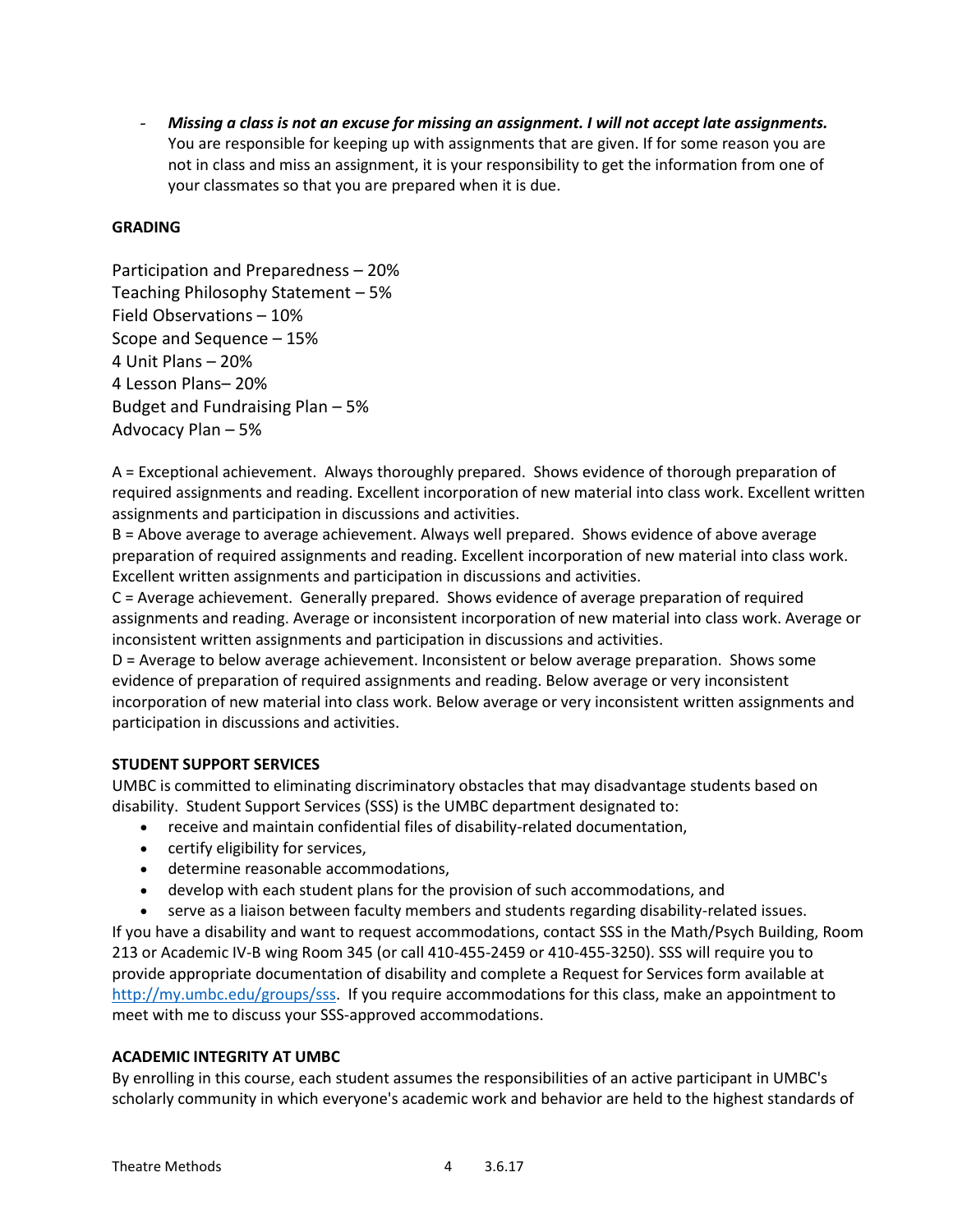- *Missing a class is not an excuse for missing an assignment. I will not accept late assignments.*  You are responsible for keeping up with assignments that are given. If for some reason you are not in class and miss an assignment, it is your responsibility to get the information from one of your classmates so that you are prepared when it is due.

# **GRADING**

Participation and Preparedness – 20% Teaching Philosophy Statement – 5% Field Observations – 10% Scope and Sequence – 15% 4 Unit Plans – 20% 4 Lesson Plans– 20% Budget and Fundraising Plan – 5% Advocacy Plan – 5%

A = Exceptional achievement. Always thoroughly prepared. Shows evidence of thorough preparation of required assignments and reading. Excellent incorporation of new material into class work. Excellent written assignments and participation in discussions and activities.

B = Above average to average achievement. Always well prepared. Shows evidence of above average preparation of required assignments and reading. Excellent incorporation of new material into class work. Excellent written assignments and participation in discussions and activities.

C = Average achievement. Generally prepared. Shows evidence of average preparation of required assignments and reading. Average or inconsistent incorporation of new material into class work. Average or inconsistent written assignments and participation in discussions and activities.

D = Average to below average achievement. Inconsistent or below average preparation. Shows some evidence of preparation of required assignments and reading. Below average or very inconsistent incorporation of new material into class work. Below average or very inconsistent written assignments and participation in discussions and activities.

# **STUDENT SUPPORT SERVICES**

UMBC is committed to eliminating discriminatory obstacles that may disadvantage students based on disability. Student Support Services (SSS) is the UMBC department designated to:

- receive and maintain confidential files of disability-related documentation,
- certify eligibility for services,
- determine reasonable accommodations,
- develop with each student plans for the provision of such accommodations, and

 serve as a liaison between faculty members and students regarding disability-related issues. If you have a disability and want to request accommodations, contact SSS in the Math/Psych Building, Room

213 or Academic IV-B wing Room 345 (or call 410-455-2459 or 410-455-3250). SSS will require you to provide appropriate documentation of disability and complete a Request for Services form available at [http://my.umbc.edu/groups/sss.](http://my.umbc.edu/groups/sss) If you require accommodations for this class, make an appointment to meet with me to discuss your SSS-approved accommodations.

# **ACADEMIC INTEGRITY AT UMBC**

By enrolling in this course, each student assumes the responsibilities of an active participant in UMBC's scholarly community in which everyone's academic work and behavior are held to the highest standards of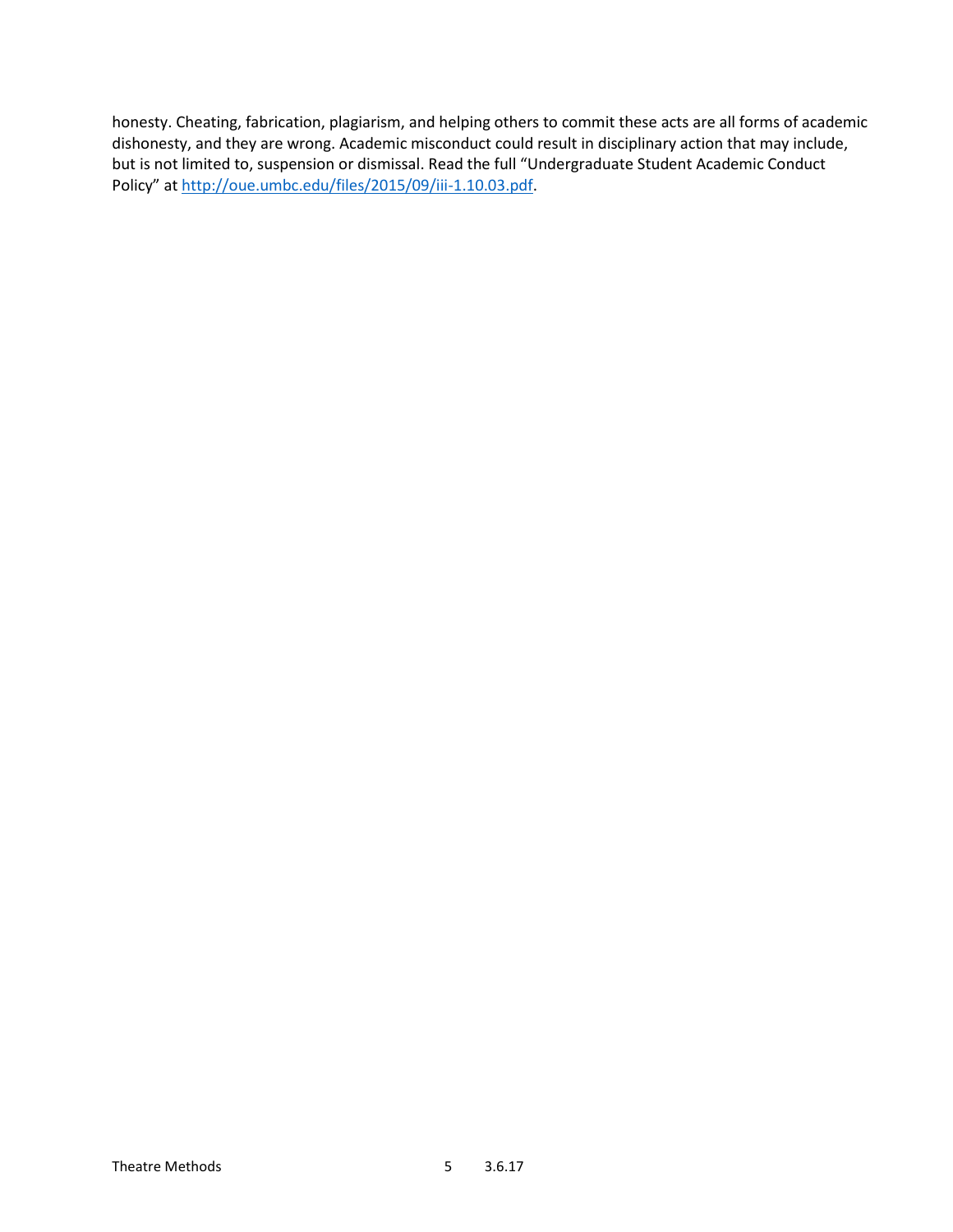honesty. Cheating, fabrication, plagiarism, and helping others to commit these acts are all forms of academic dishonesty, and they are wrong. Academic misconduct could result in disciplinary action that may include, but is not limited to, suspension or dismissal. Read the full "Undergraduate Student Academic Conduct Policy" at [http://oue.umbc.edu/files/2015/09/iii-1.10.03.pdf.](http://oue.umbc.edu/files/2015/09/iii-1.10.03.pdf)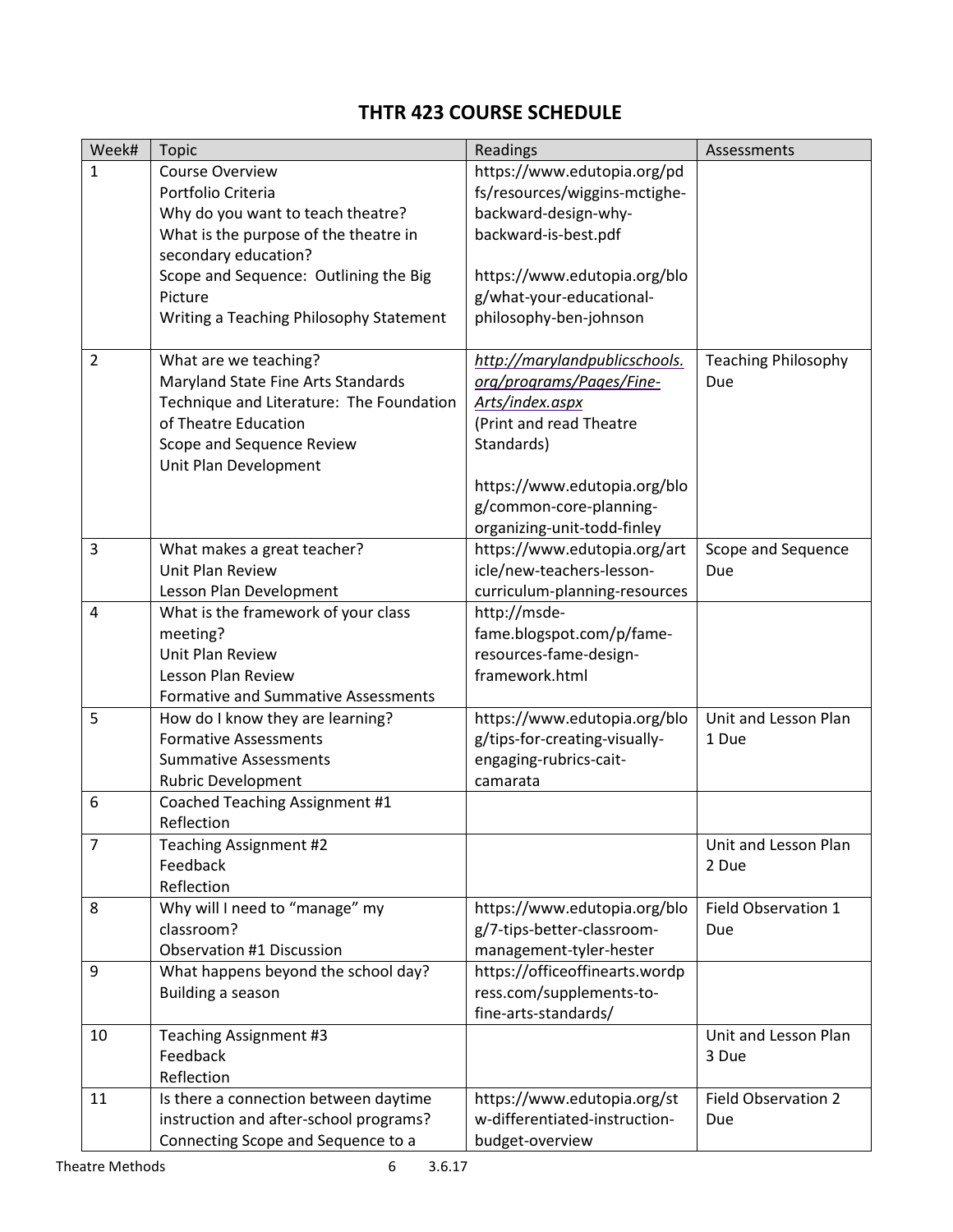# **THTR 423 COURSE SCHEDULE**

| Week#          | <b>Topic</b>                               | Readings                       | Assessments                |
|----------------|--------------------------------------------|--------------------------------|----------------------------|
| $\mathbf{1}$   | <b>Course Overview</b>                     | https://www.edutopia.org/pd    |                            |
|                | Portfolio Criteria                         | fs/resources/wiggins-mctighe-  |                            |
|                | Why do you want to teach theatre?          | backward-design-why-           |                            |
|                | What is the purpose of the theatre in      | backward-is-best.pdf           |                            |
|                | secondary education?                       |                                |                            |
|                | Scope and Sequence: Outlining the Big      | https://www.edutopia.org/blo   |                            |
|                | Picture                                    | g/what-your-educational-       |                            |
|                | Writing a Teaching Philosophy Statement    | philosophy-ben-johnson         |                            |
|                |                                            |                                |                            |
| $\overline{2}$ | What are we teaching?                      | http://marylandpublicschools.  | <b>Teaching Philosophy</b> |
|                | Maryland State Fine Arts Standards         | org/programs/Pages/Fine-       | Due                        |
|                | Technique and Literature: The Foundation   | Arts/index.aspx                |                            |
|                | of Theatre Education                       | (Print and read Theatre        |                            |
|                | Scope and Sequence Review                  | Standards)                     |                            |
|                | Unit Plan Development                      |                                |                            |
|                |                                            | https://www.edutopia.org/blo   |                            |
|                |                                            | g/common-core-planning-        |                            |
|                |                                            | organizing-unit-todd-finley    |                            |
| 3              | What makes a great teacher?                | https://www.edutopia.org/art   | Scope and Sequence         |
|                | Unit Plan Review                           | icle/new-teachers-lesson-      | Due                        |
|                | Lesson Plan Development                    | curriculum-planning-resources  |                            |
| 4              | What is the framework of your class        | http://msde-                   |                            |
|                | meeting?                                   | fame.blogspot.com/p/fame-      |                            |
|                | Unit Plan Review                           | resources-fame-design-         |                            |
|                | Lesson Plan Review                         | framework.html                 |                            |
|                | <b>Formative and Summative Assessments</b> |                                |                            |
| 5              | How do I know they are learning?           | https://www.edutopia.org/blo   | Unit and Lesson Plan       |
|                | <b>Formative Assessments</b>               | g/tips-for-creating-visually-  | 1 Due                      |
|                | <b>Summative Assessments</b>               | engaging-rubrics-cait-         |                            |
|                | <b>Rubric Development</b>                  | camarata                       |                            |
| 6              | Coached Teaching Assignment #1             |                                |                            |
|                | Reflection                                 |                                |                            |
| 7              | Teaching Assignment #2                     |                                | Unit and Lesson Plan       |
|                | Feedback                                   |                                | 2 Due                      |
|                | Reflection                                 |                                |                            |
| 8              | Why will I need to "manage" my             | https://www.edutopia.org/blo   | Field Observation 1        |
|                | classroom?                                 | g/7-tips-better-classroom-     | Due                        |
|                | <b>Observation #1 Discussion</b>           | management-tyler-hester        |                            |
| 9              | What happens beyond the school day?        | https://officeoffinearts.wordp |                            |
|                | Building a season                          | ress.com/supplements-to-       |                            |
|                |                                            | fine-arts-standards/           |                            |
| 10             | Teaching Assignment #3                     |                                | Unit and Lesson Plan       |
|                | Feedback                                   |                                | 3 Due                      |
|                | Reflection                                 |                                |                            |
| 11             | Is there a connection between daytime      | https://www.edutopia.org/st    | <b>Field Observation 2</b> |
|                | instruction and after-school programs?     | w-differentiated-instruction-  | Due                        |
|                | Connecting Scope and Sequence to a         | budget-overview                |                            |